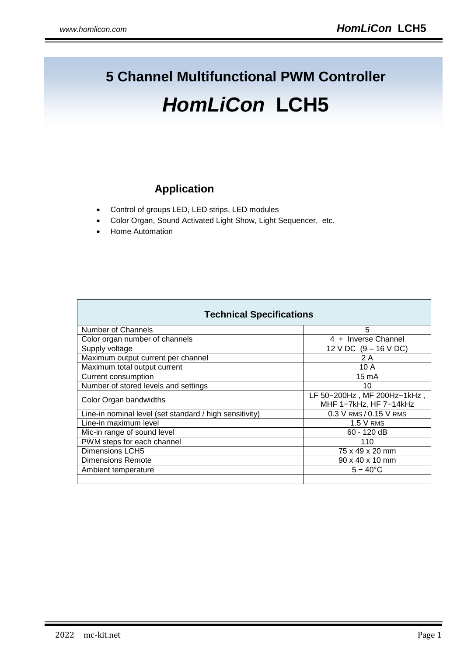# **5 Channel Multifunctional PWM Controller** *HomLiCon* **LCH5**

# **Application**

- Control of groups LED, LED strips, LED modules
- Color Organ, Sound Activated Light Show, Light Sequencer, etc.
- Home Automation

| <b>Technical Specifications</b>                         |                                                       |  |  |
|---------------------------------------------------------|-------------------------------------------------------|--|--|
| Number of Channels                                      | 5                                                     |  |  |
| Color organ number of channels                          | 4 + Inverse Channel                                   |  |  |
| Supply voltage                                          | $12$ V DC $(9 - 16$ V DC)                             |  |  |
| Maximum output current per channel                      | 2 A                                                   |  |  |
| Maximum total output current                            | 10A                                                   |  |  |
| Current consumption                                     | $15 \text{ mA}$                                       |  |  |
| Number of stored levels and settings                    | 10                                                    |  |  |
| Color Organ bandwidths                                  | LF 50-200Hz, MF 200Hz-1kHz,<br>MHF 1-7kHz, HF 7-14kHz |  |  |
| Line-in nominal level (set standard / high sensitivity) | 0.3 V RMS / 0.15 V RMS                                |  |  |
| Line-in maximum level                                   | 1.5 V RMS                                             |  |  |
| Mic-in range of sound level                             | 60 - 120 dB                                           |  |  |
| PWM steps for each channel                              | 110                                                   |  |  |
| <b>Dimensions LCH5</b>                                  | 75 x 49 x 20 mm                                       |  |  |
| <b>Dimensions Remote</b>                                | 90 x 40 x 10 mm                                       |  |  |
| Ambient temperature                                     | $5 - 40^{\circ}$ C                                    |  |  |
|                                                         |                                                       |  |  |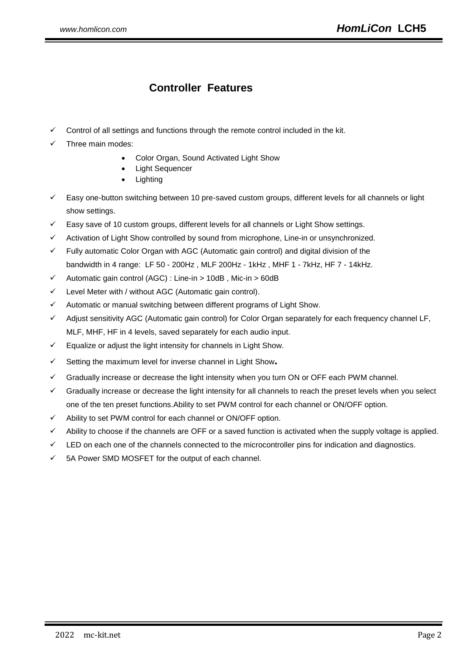# **Controller Features**

- $\checkmark$  Control of all settings and functions through the remote control included in the kit.
- Three main modes:
	- Color Organ, Sound Activated Light Show
	- Light Sequencer
	- Lighting
- $\checkmark$  Easy one-button switching between 10 pre-saved custom groups, different levels for all channels or light show settings.
- $\checkmark$  Easy save of 10 custom groups, different levels for all channels or Light Show settings.
- Activation of Light Show controlled by sound from microphone, Line-in or unsynchronized.
- Fully automatic Color Organ with AGC (Automatic gain control) and digital division of the bandwidth in 4 range: LF 50 - 200Hz , MLF 200Hz - 1kHz , MHF 1 - 7kHz, HF 7 - 14kHz.
- $\checkmark$  Automatic gain control (AGC) : Line-in > 10dB, Mic-in > 60dB
- $\checkmark$  Level Meter with / without AGC (Automatic gain control).
- $\checkmark$  Automatic or manual switching between different programs of Light Show.
- $\checkmark$  Adjust sensitivity AGC (Automatic gain control) for Color Organ separately for each frequency channel LF, MLF, MHF, HF in 4 levels, saved separately for each audio input.
- $\checkmark$  Equalize or adjust the light intensity for channels in Light Show.
- Setting the maximum level for inverse channel in Light Show**.**
- $\checkmark$  Gradually increase or decrease the light intensity when you turn ON or OFF each PWM channel.
- $\checkmark$  Gradually increase or decrease the light intensity for all channels to reach the preset levels when you select one of the ten preset functions.Ability to set PWM control for each channel or ON/OFF option.
- $\checkmark$  Ability to set PWM control for each channel or ON/OFF option.
- Ability to choose if the channels are OFF or a saved function is activated when the supply voltage is applied.
- $\checkmark$  LED on each one of the channels connected to the microcontroller pins for indication and diagnostics.
- $\checkmark$  5A Power SMD MOSFET for the output of each channel.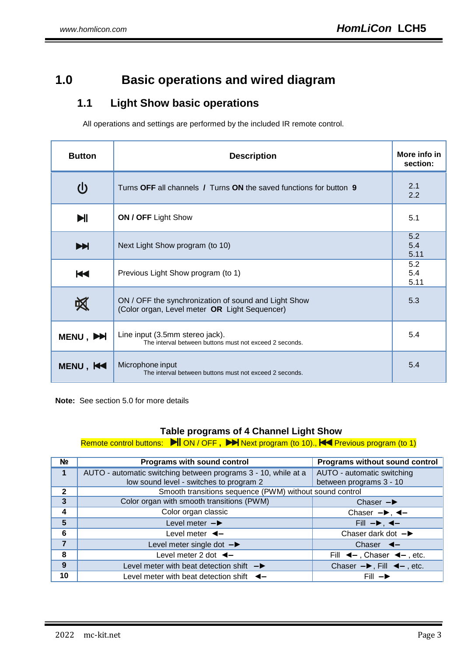# **1.0 Basic operations and wired diagram**

# **1.1 Light Show basic operations**

All operations and settings are performed by the included IR remote control.

| <b>Button</b>        | <b>Description</b>                                                                                    |                    |  |
|----------------------|-------------------------------------------------------------------------------------------------------|--------------------|--|
| $\mathcal{L}$        | Turns OFF all channels / Turns ON the saved functions for button 9                                    | 2.1<br>2.2         |  |
| HI                   | ON / OFF Light Show                                                                                   | 5.1                |  |
| EN                   | Next Light Show program (to 10)                                                                       | 5.2<br>5.4<br>5.11 |  |
| KI                   | Previous Light Show program (to 1)                                                                    | 5.2<br>5.4<br>5.11 |  |
| 図                    | ON / OFF the synchronization of sound and Light Show<br>(Color organ, Level meter OR Light Sequencer) | 5.3                |  |
| MENU,                | Line input (3.5mm stereo jack).<br>The interval between buttons must not exceed 2 seconds.            | 5.4                |  |
| MENU, K <sup>4</sup> | Microphone input<br>The interval between buttons must not exceed 2 seconds.                           | 5.4                |  |

**Note:** See section 5.0 for more details

## **Table programs of 4 Channel Light Show**

Remote control buttons: **No** OR / OFF , **Note Ally Next program (to 10).**, **Note Previous program (to 1)** 

| N <sub>2</sub> | Programs with sound control                                    | <b>Programs without sound control</b>                              |
|----------------|----------------------------------------------------------------|--------------------------------------------------------------------|
| 1              | AUTO - automatic switching between programs 3 - 10, while at a | AUTO - automatic switching                                         |
|                | low sound level - switches to program 2                        | between programs 3 - 10                                            |
| $\mathbf{2}$   | Smooth transitions sequence (PWM) without sound control        |                                                                    |
| $\mathbf{3}$   | Color organ with smooth transitions (PWM)                      | Chaser $\rightarrow$                                               |
| 4              | Color organ classic                                            | Chaser $-\rightarrow$ , $\leftarrow$                               |
| 5              | Level meter $-\blacktriangleright$                             | Fill $-\blacktriangleright$ , $\blacktriangleleft -$               |
| 6              | Level meter $\blacktriangleleft$ -                             | Chaser dark dot $-\blacktriangleright$                             |
| $\overline{7}$ | Level meter single dot $-\blacktriangleright$                  | Chaser $\blacktriangleleft$ –                                      |
| 8              | Level meter 2 dot $\blacktriangleleft$ -                       | Fill $\blacktriangleleft$ - , Chaser $\blacktriangleleft$ - , etc. |
| 9              | Level meter with beat detection shift $-\blacktriangleright$   | Chaser $-\rightarrow$ , Fill $\blacktriangleleft$ - , etc.         |
| 10             | Level meter with beat detection shift $\blacktriangleleft$ -   | $Fill - \triangleright$                                            |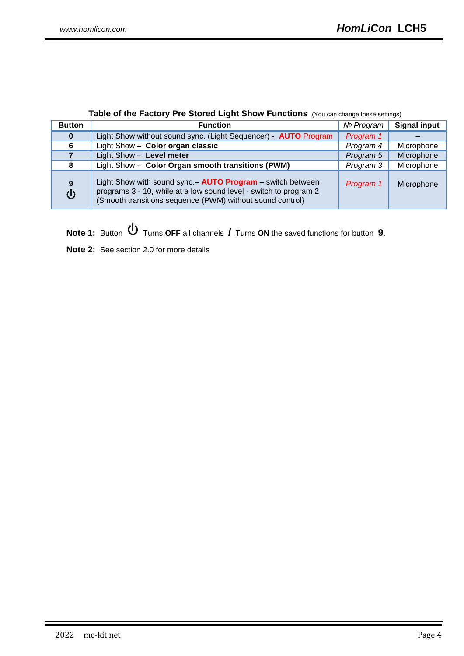# **Table of the Factory Pre Stored Light Show Functions** (You can change these settings)

| <b>Button</b> | <b>Function</b>                                                                                                                                                                               | Nº Program | <b>Signal input</b> |
|---------------|-----------------------------------------------------------------------------------------------------------------------------------------------------------------------------------------------|------------|---------------------|
| $\bf{0}$      | Light Show without sound sync. (Light Sequencer) - <b>AUTO</b> Program                                                                                                                        | Program 1  |                     |
| 6             | Light Show - Color organ classic                                                                                                                                                              | Program 4  | Microphone          |
|               | Light Show - Level meter                                                                                                                                                                      | Program 5  | Microphone          |
| 8             | Light Show - Color Organ smooth transitions (PWM)                                                                                                                                             | Program 3  | Microphone          |
| 9             | Light Show with sound sync. - AUTO Program - switch between<br>programs 3 - 10, while at a low sound level - switch to program 2<br>(Smooth transitions sequence (PWM) without sound control} | Program 1  | Microphone          |

**Note 1:** Button  $\bigcup$  Turns OFF all channels **/** Turns ON the saved functions for button 9.

**Note 2:** See section 2.0 for more details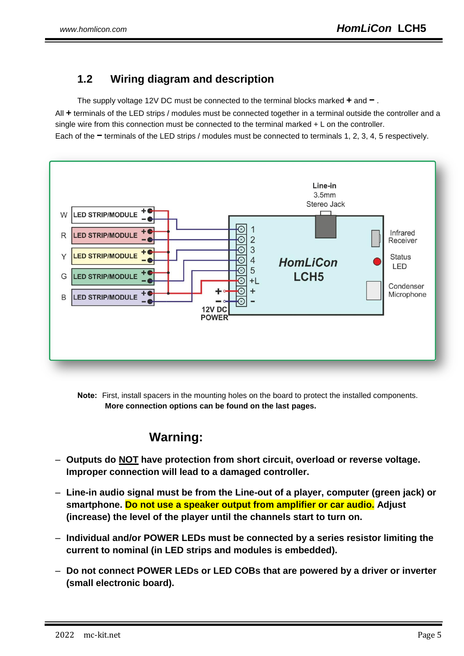# **1.2 Wiring diagram and description**

The supply voltage 12V DC must be connected to the terminal blocks marked **+** and **−** .

All **+** terminals of the LED strips / modules must be connected together in a terminal outside the controller and a single wire from this connection must be connected to the terminal marked + L on the controller. Each of the **−** terminals of the LED strips / modules must be connected to terminals 1, 2, 3, 4, 5 respectively.



**Notе:** First, install spacers in the mounting holes on the board to protect the installed components. **More connection options can be found on the last pages.**

# **Warning:**

- **Outputs do NOT have protection from short circuit, overload or reverse voltage. Improper connection will lead to a damaged controller.**
- **Line-in audio signal must be from the Line-out of a player, computer (green jack) or smartphone. Do not use a speaker output from amplifier or car audio. Adjust (increase) the level of the player until the channels start to turn on.**
- **Individual and/or POWER LEDs must be connected by a series resistor limiting the current to nominal (in LED strips and modules is embedded).**
- **Do not connect POWER LEDs or LED COBs that are powered by a driver or inverter (small electronic board).**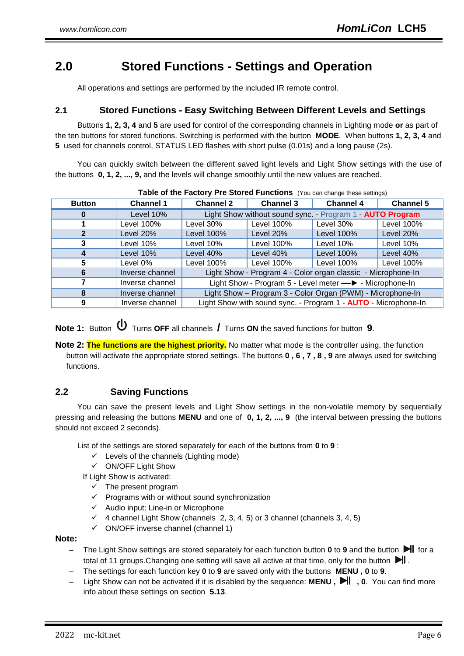# **2.0 Stored Functions - Settings and Operation**

All operations and settings are performed by the included IR remote control.

### **2.1 Stored Functions - Easy Switching Between Different Levels and Settings**

Buttons **1, 2, 3, 4** and **5** are used for control of the corresponding channels in Lighting mode **or** as part of the ten buttons for stored functions. Switching is performed with the button **MODE**. When buttons **1, 2, 3, 4** and **5** used for channels control, STATUS LED flashes with short pulse (0.01s) and a long pause (2s).

You can quickly switch between the different saved light levels and Light Show settings with the use of the buttons **0, 1, 2, ..., 9,** and the levels will change smoothly until the new values are reached.

| <b>Button</b> | <b>Channel 1</b> | <b>Channel 2</b>                                                      | <b>Channel 3</b> | <b>Channel 4</b>  | <b>Channel 5</b> |
|---------------|------------------|-----------------------------------------------------------------------|------------------|-------------------|------------------|
| 0             | Level 10%        | Light Show without sound sync. - Program 1 - AUTO Program             |                  |                   |                  |
|               | Level 100%       | Level 30%                                                             | Level 100%       | Level 30%         | Level 100%       |
| 2             | Level 20%        | <b>Level 100%</b>                                                     | Level 20%        | <b>Level 100%</b> | Level 20%        |
| 3             | Level 10%        | Level 10%                                                             | Level 100%       | Level 10%         | Level 10%        |
|               | Level 10%        | Level 40%                                                             | Level 40%        | <b>Level 100%</b> | Level 40%        |
| 5             | Level 0%         | Level 100%                                                            | Level 100%       | Level 100%        | Level 100%       |
| 6             | Inverse channel  | Light Show - Program 4 - Color organ classic - Microphone-In          |                  |                   |                  |
|               | Inverse channel  | Light Show - Program 5 - Level meter - ► - Microphone-In              |                  |                   |                  |
| 8             | Inverse channel  | Light Show - Program 3 - Color Organ (PWM) - Microphone-In            |                  |                   |                  |
| 9             | Inverse channel  | Light Show with sound sync. - Program 1 - <b>AUTO</b> - Microphone-In |                  |                   |                  |

|  | Table of the Factory Pre Stored Functions (You can change these settings) |
|--|---------------------------------------------------------------------------|
|  |                                                                           |

**Note 1:** Button  $\bigcup$  Turns OFF all channels **/** Turns ON the saved functions for button 9.

**Note 2:** The functions are the highest priority. No matter what mode is the controller using, the function button will activate the appropriate stored settings. The buttons **0 , 6 , 7 , 8 , 9** are always used for switching functions.

## **2.2 Saving Functions**

You can save the present levels and Light Show settings in the non-volatile memory by sequentially pressing and releasing the buttons **MENU** and one of **0, 1, 2, ..., 9** (the interval between pressing the buttons should not exceed 2 seconds).

List of the settings are stored separately for each of the buttons from **0** to **9** :

- $\checkmark$  Levels of the channels (Lighting mode)
- $\checkmark$  ON/OFF Light Show

If Light Show is activated:

- $\checkmark$  The present program
- $\checkmark$  Programs with or without sound synchronization
- $\checkmark$  Audio input: Line-in or Microphone
- $\checkmark$  4 channel Light Show (channels 2, 3, 4, 5) or 3 channel (channels 3, 4, 5)
- $\checkmark$  ON/OFF inverse channel (channel 1)

#### **Note:**

- $-$  The Light Show settings are stored separately for each function button 0 to 9 and the button ► for a total of 11 groups. Changing one setting will save all active at that time, only for the button  $\blacksquare$ .
- The settings for each function key **0** to **9** are saved only with the buttons **MENU , 0** to **9**.
- Light Show can not be activated if it is disabled by the sequence: **MENU , , 0**. You can find more info about these settings on section **5.13**.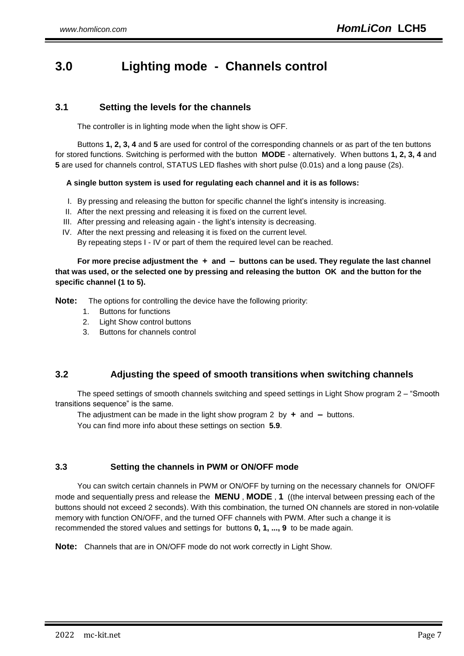# **3.0 Lighting mode - Channels control**

# **3.1 Setting the levels for the channels**

The controller is in lighting mode when the light show is OFF.

Buttons **1, 2, 3, 4** and **5** are used for control of the corresponding channels or as part of the ten buttons for stored functions. Switching is performed with the button **MODE** - alternatively. When buttons **1, 2, 3, 4** and **5** are used for channels control, STATUS LED flashes with short pulse (0.01s) and a long pause (2s).

#### **A single button system is used for regulating each channel and it is as follows:**

- I. By pressing and releasing the button for specific channel the light's intensity is increasing.
- II. After the next pressing and releasing it is fixed on the current level.
- III. After pressing and releasing again the light's intensity is decreasing.
- IV. After the next pressing and releasing it is fixed on the current level.

By repeating steps I - IV or part of them the required level can be reached.

**For more precise adjustment the + and – buttons can be used. They regulate the last channel that was used, or the selected one by pressing and releasing the button OK and the button for the specific channel (1 to 5).**

**Note:** The options for controlling the device have the following priority:

- 1. Buttons for functions
- 2. Light Show control buttons
- 3. Buttons for channels control

## **3.2 Adjusting the speed of smooth transitions when switching channels**

The speed settings of smooth channels switching and speed settings in Light Show program 2 – "Smooth transitions sequence" is the same.

The adjustment can be made in the light show program 2 by **+** and **–** buttons.

You can find more info about these settings on section **5.9**.

#### **3.3 Setting the channels in PWM or ON/OFF mode**

You can switch certain channels in PWM or ON/OFF by turning on the necessary channels for ON/OFF mode and sequentially press and release the **MENU** , **MODE** , **1** ((the interval between pressing each of the buttons should not exceed 2 seconds). With this combination, the turned ON channels are stored in non-volatile memory with function ON/OFF, and the turned OFF channels with PWM. After such a change it is recommended the stored values and settings for buttons **0, 1, ..., 9** to be made again.

**Note:** Channels that are in ON/OFF mode do not work correctly in Light Show.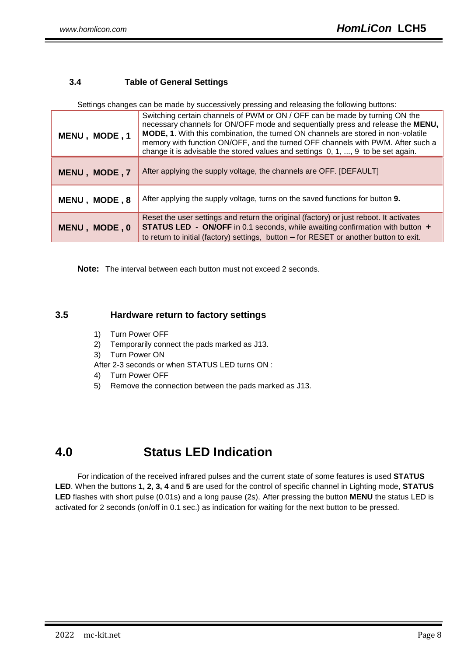### **3.4 Table of General Settings**

Settings changes can be made by successively pressing and releasing the following buttons:

| MENU, MODE, 1 | Switching certain channels of PWM or ON / OFF can be made by turning ON the<br>necessary channels for ON/OFF mode and sequentially press and release the MENU,<br>MODE, 1. With this combination, the turned ON channels are stored in non-volatile<br>memory with function ON/OFF, and the turned OFF channels with PWM. After such a<br>change it is advisable the stored values and settings 0, 1, , 9 to be set again. |
|---------------|----------------------------------------------------------------------------------------------------------------------------------------------------------------------------------------------------------------------------------------------------------------------------------------------------------------------------------------------------------------------------------------------------------------------------|
| MENU, MODE, 7 | After applying the supply voltage, the channels are OFF. [DEFAULT]                                                                                                                                                                                                                                                                                                                                                         |
| MENU, MODE, 8 | After applying the supply voltage, turns on the saved functions for button 9.                                                                                                                                                                                                                                                                                                                                              |
| MENU, MODE, 0 | Reset the user settings and return the original (factory) or just reboot. It activates<br><b>STATUS LED - ON/OFF</b> in 0.1 seconds, while awaiting confirmation with button +<br>to return to initial (factory) settings, button - for RESET or another button to exit.                                                                                                                                                   |

**Note:** The interval between each button must not exceed 2 seconds.

### **3.5 Hardware return to factory settings**

- 1) Turn Power OFF
- 2) Temporarily connect the pads marked as J13.
- 3) Turn Power ON

After 2-3 seconds or when STATUS LED turns ON :

- 4) Turn Power OFF
- 5) Remove the connection between the pads marked as J13.

# **4.0 Status LED Indication**

For indication of the received infrared pulses and the current state of some features is used **STATUS LED**. When the buttons **1, 2, 3, 4** and **5** are used for the control of specific channel in Lighting mode, **STATUS LED** flashes with short pulse (0.01s) and a long pause (2s). After pressing the button **MENU** the status LED is activated for 2 seconds (on/off in 0.1 sec.) as indication for waiting for the next button to be pressed.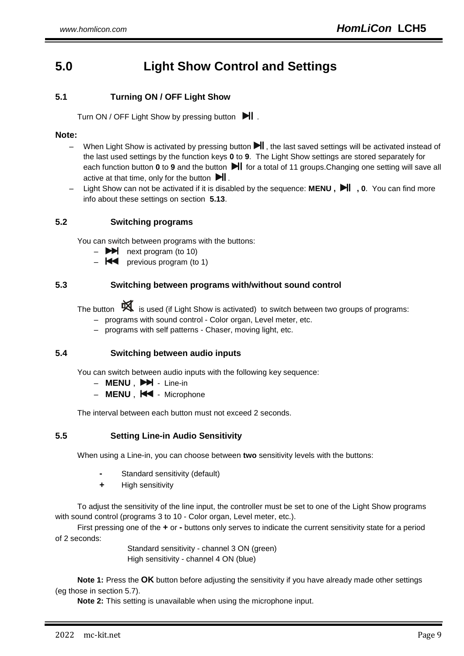# **5.0 Light Show Control and Settings**

### **5.1 Turning ON / OFF Light Show**

Turn ON / OFF Light Show by pressing button  $\blacksquare$ .

#### **Note:**

- When Light Show is activated by pressing button  $\blacksquare$ , the last saved settings will be activated instead of the last used settings by the function keys **0** to **9**. The Light Show settings are stored separately for each function button  $\bf{0}$  to  $\bf{9}$  and the button  $\bf{1}$  for a total of 11 groups.Changing one setting will save all active at that time, only for the button  $\blacksquare$ .
- Light Show can not be activated if it is disabled by the sequence: **MENU**,  $\blacksquare$ , 0. You can find more info about these settings on section **5.13**.

#### **5.2 Switching programs**

You can switch between programs with the buttons:

- $\rightarrow$  next program (to 10)
- $\blacktriangleright$  previous program (to 1)

#### **5.3 Switching between programs with/without sound control**

The button  $\mathbf{\mathbf{\mathbb{X}}}$  is used (if Light Show is activated) to switch between two groups of programs:

- programs with sound control Color organ, Level meter, etc.
- programs with self patterns Chaser, moving light, etc.

#### **5.4 Switching between audio inputs**

You can switch between audio inputs with the following key sequence:

- **MENU 

PD** Line-in
- **MENU**,  $\blacktriangleright$  Microphone

The interval between each button must not exceed 2 seconds.

#### **5.5 Setting Line-in Audio Sensitivity**

When using a Line-in, you can choose between **two** sensitivity levels with the buttons:

- **-** Standard sensitivity (default)
- **+** High sensitivity

To adjust the sensitivity of the line input, the controller must be set to one of the Light Show programs with sound control (programs 3 to 10 - Color organ, Level meter, etc.).

First pressing one of the **+** or **-** buttons only serves to indicate the current sensitivity state for a period of 2 seconds:

> Standard sensitivity - channel 3 ON (green) High sensitivity - channel 4 ON (blue)

**Note 1:** Press the **OK** button before adjusting the sensitivity if you have already made other settings (eg those in section 5.7).

**Note 2:** This setting is unavailable when using the microphone input.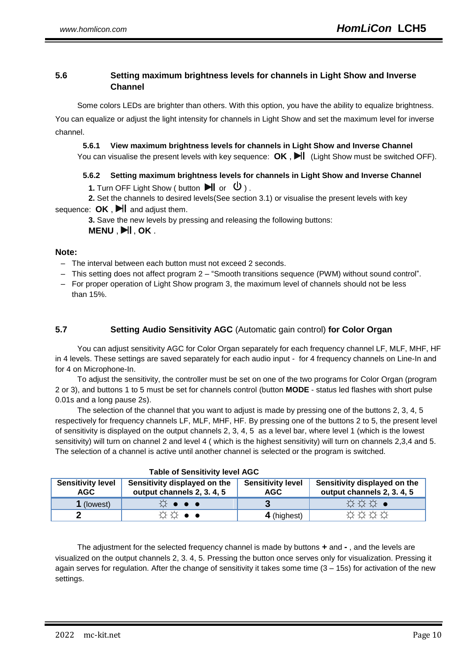### **5.6 Setting maximum brightness levels for channels in Light Show and Inverse Channel**

Some colors LEDs are brighter than others. With this option, you have the ability to equalize brightness. You can equalize or adjust the light intensity for channels in Light Show and set the maximum level for inverse channel.

**5.6.1 View maximum brightness levels for channels in Light Show and Inverse Channel**

You can visualise the present levels with key sequence: **OK**, **NI** (Light Show must be switched OFF).

#### **5.6.2 Setting maximum brightness levels for channels in Light Show and Inverse Channel**

**1.** Turn OFF Light Show ( button  $\mathbf{M}$  or  $\mathbf{U}$  ).

**2.** Set the channels to desired levels(See section 3.1) or visualise the present levels with key sequence:  $OK$ ,  $\blacktriangleright$  and adjust them.

**3.** Save the new levels by pressing and releasing the following buttons:

#### **MENU . DII. OK.**

#### **Note:**

- The interval between each button must not exceed 2 seconds.
- This setting does not affect program 2 "Smooth transitions sequence (PWM) without sound control".
- For proper operation of Light Show program 3, the maximum level of channels should not be less than 15%.

# **5.7 Setting Audio Sensitivity AGC** (Automatic gain control) **for Color Organ**

You can adjust sensitivity AGC for Color Organ separately for each frequency channel LF, MLF, MHF, HF in 4 levels. These settings are saved separately for each audio input - for 4 frequency channels on Line-In and for 4 on Microphone-In.

To adjust the sensitivity, the controller must be set on one of the two programs for Color Organ (program 2 or 3), and buttons 1 to 5 must be set for channels control (button **MODE** - status led flashes with short pulse 0.01s and a long pause 2s).

The selection of the channel that you want to adjust is made by pressing one of the buttons 2, 3, 4, 5 respectively for frequency channels LF, MLF, MHF, HF. By pressing one of the buttons 2 to 5, the present level of sensitivity is displayed on the output channels 2, 3, 4, 5 as a level bar, where level 1 (which is the lowest sensitivity) will turn on channel 2 and level 4 ( which is the highest sensitivity) will turn on channels 2,3,4 and 5. The selection of a channel is active until another channel is selected or the program is switched.

| <b>LADIC OF SCISILIVILY IGVEL AGU</b>  |                                                           |                                        |                                                            |  |
|----------------------------------------|-----------------------------------------------------------|----------------------------------------|------------------------------------------------------------|--|
| <b>Sensitivity level</b><br><b>AGC</b> | Sensitivity displayed on the<br>output channels 2, 3.4, 5 | <b>Sensitivity level</b><br><b>AGC</b> | Sensitivity displayed on the<br>output channels 2, 3, 4, 5 |  |
| 1 (lowest)                             | $\circledcirc$ $\bullet$ $\bullet$ $\bullet$              |                                        | ☆☆☆●                                                       |  |
|                                        | ⇔ ♦ ☆☆                                                    | 4 (highest)                            | ****                                                       |  |

The adjustment for the selected frequency channel is made by buttons **+** and **-** , and the levels are visualized on the output channels 2, 3. 4, 5. Pressing the button once serves only for visualization. Pressing it again serves for regulation. After the change of sensitivity it takes some time  $(3 - 15s)$  for activation of the new settings.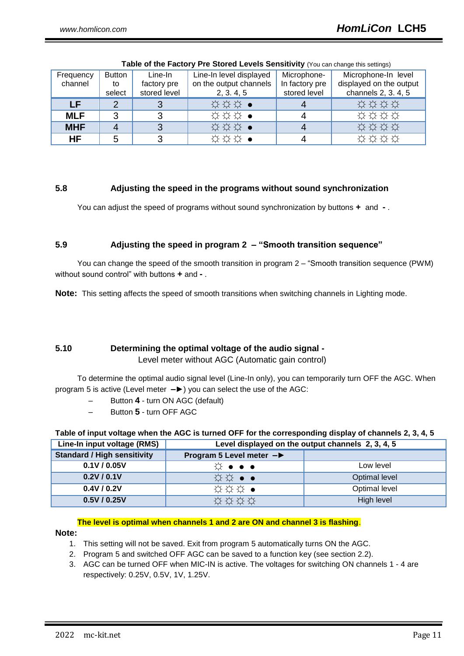| Frequency  | <b>Button</b> | Line-In      | Line-In level displayed                                                                | Microphone-    | Microphone-In level                                 |
|------------|---------------|--------------|----------------------------------------------------------------------------------------|----------------|-----------------------------------------------------|
| channel    | to            | factory pre  | on the output channels                                                                 | In factory pre | displayed on the output                             |
|            | select        | stored level | 2, 3, 4, 5                                                                             | stored level   | channels 2, 3.4, 5                                  |
| LF         |               |              | ☆☆☆●                                                                                   |                | ****                                                |
| <b>MLF</b> | າ             |              | $\begin{array}{c}\n\leftrightarrow \\ \leftrightarrow \\ \leftrightarrow\n\end{array}$ |                |                                                     |
| <b>MHF</b> | $\Lambda$     |              | $\begin{array}{ccc}\n\leftrightarrow & \leftrightarrow & \bullet\n\end{array}$         |                | $\begin{array}{c}\n\star\star\star\star\end{array}$ |
| <b>HF</b>  | 5             |              | ☆☆☆●                                                                                   |                | ****                                                |

#### **Table of the Factory Pre Stored Levels Sensitivity** (You can change this settings)

#### **5.8 Adjusting the speed in the programs without sound synchronization**

You can adjust the speed of programs without sound synchronization by buttons **+** and **-** .

#### **5.9 Adjusting the speed in program 2 – "Smooth transition sequence"**

You can change the speed of the smooth transition in program 2 – "Smooth transition sequence (PWM) without sound control" with buttons **+** and **-** .

**Note:** This setting affects the speed of smooth transitions when switching channels in Lighting mode.

## **5.10 Determining the optimal voltage of the audio signal -**

Level meter without AGC (Automatic gain control)

To determine the optimal audio signal level (Line-In only), you can temporarily turn OFF the AGC. When program 5 is active (Level meter **–**►) you can select the use of the AGC:

- Button **4** turn ON AGC (default)
- Button **5** turn OFF AGC

#### **Table of input voltage when the AGC is turned OFF for the corresponding display of channels 2, 3, 4, 5 Line-In input voltage (RMS) Level displayed on the output channels 2, 3, 4, 5**

| <b>LING-IN INDUL VORGYG (ININO)</b> | Level displayed on the output channels $\boldsymbol{\Sigma}$ , $\boldsymbol{\nu}$ , $\boldsymbol{\tau}$ , $\boldsymbol{\nu}$ |               |  |  |
|-------------------------------------|------------------------------------------------------------------------------------------------------------------------------|---------------|--|--|
| <b>Standard / High sensitivity</b>  | Program 5 Level meter $-\blacktriangleright$                                                                                 |               |  |  |
| 0.1V / 0.05V                        | $\updownarrow \rightarrow \bullet \bullet \bullet$                                                                           | Low level     |  |  |
| 0.2V / 0.1V                         | ☆☆ • •                                                                                                                       | Optimal level |  |  |
| 0.4V / 0.2V                         | $\bullet$ ###                                                                                                                | Optimal level |  |  |
| 0.5V / 0.25V                        | なななな                                                                                                                         | High level    |  |  |

#### **The level is optimal when channels 1 and 2 are ON and channel 3 is flashing**.

#### **Note:**

- 1. This setting will not be saved. Exit from program 5 automatically turns ON the AGC.
- 2. Program 5 and switched OFF AGC can be saved to a function key (see section 2.2).
- 3. AGC can be turned OFF when MIC-IN is active. The voltages for switching ON channels 1 4 are respectively: 0.25V, 0.5V, 1V, 1.25V.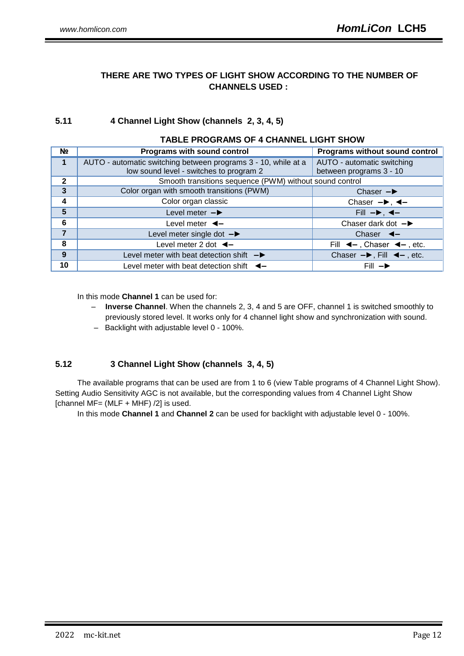# **THERE ARE TWO TYPES OF LIGHT SHOW ACCORDING TO THE NUMBER OF CHANNELS USED :**

### **5.11 4 Channel Light Show (channels 2, 3, 4, 5)**

#### **TABLE PROGRAMS OF 4 CHANNEL LIGHT SHOW**

| N <sub>2</sub> | Programs with sound control                                    | Programs without sound control                                     |
|----------------|----------------------------------------------------------------|--------------------------------------------------------------------|
|                | AUTO - automatic switching between programs 3 - 10, while at a | AUTO - automatic switching                                         |
|                | low sound level - switches to program 2                        | between programs 3 - 10                                            |
| $\overline{2}$ | Smooth transitions sequence (PWM) without sound control        |                                                                    |
| $\mathbf{3}$   | Color organ with smooth transitions (PWM)                      | Chaser $\rightarrow$                                               |
| 4              | Color organ classic                                            | Chaser $-\rightarrow$ , $\leftarrow$                               |
| 5              | Level meter $-\blacktriangleright$                             | $Fill - A, 4-$                                                     |
| 6              | Level meter $\blacktriangleleft$ -                             | Chaser dark dot $-\blacktriangleright$                             |
| $\overline{7}$ | Level meter single dot $-\blacktriangleright$                  | Chaser $\blacktriangleleft$ –                                      |
| 8              | Level meter 2 dot $\blacktriangleleft$ -                       | Fill $\blacktriangleleft$ - , Chaser $\blacktriangleleft$ - , etc. |
| 9              | Level meter with beat detection shift $-\blacktriangleright$   | Chaser $-\rightarrow$ , Fill $\blacktriangleleft$ - , etc.         |
| 10             | Level meter with beat detection shift $\blacktriangleleft$ -   | $Fill - \triangleright$                                            |

In this mode **Channel 1** can be used for:

- **Inverse Channel**. When the channels 2, 3, 4 and 5 are OFF, channel 1 is switched smoothly to previously stored level. It works only for 4 channel light show and synchronization with sound.
- Backlight with adjustable level 0 100%.

# **5.12 3 Channel Light Show (channels 3, 4, 5)**

The available programs that can be used are from 1 to 6 (view Table programs of 4 Channel Light Show). Setting Audio Sensitivity AGC is not available, but the corresponding values from 4 Channel Light Show [channel MF= (MLF + MHF)  $/2$ ] is used.

In this mode **Channel 1** and **Channel 2** can be used for backlight with adjustable level 0 - 100%.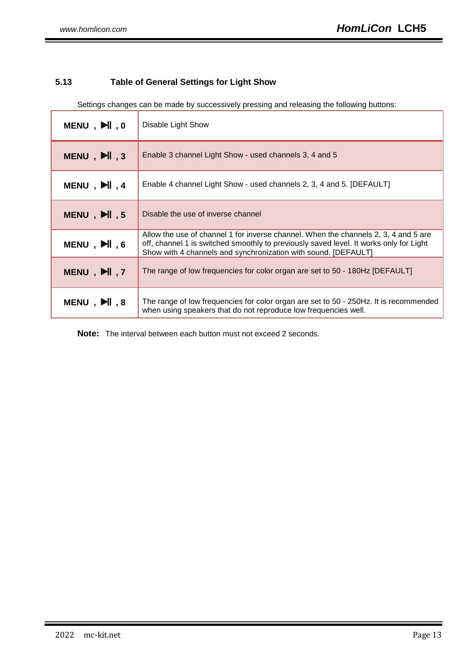Ï

### **5.13 Table of General Settings for Light Show**

Settings changes can be made by successively pressing and releasing the following buttons:

| MENU, $\blacksquare$ , 0 | Disable Light Show                                                                                                                                                                                                                              |  |
|--------------------------|-------------------------------------------------------------------------------------------------------------------------------------------------------------------------------------------------------------------------------------------------|--|
| MENU, $\blacksquare$ , 3 | Enable 3 channel Light Show - used channels 3, 4 and 5                                                                                                                                                                                          |  |
| MENU, DI.4               | Enable 4 channel Light Show - used channels 2, 3, 4 and 5. [DEFAULT]                                                                                                                                                                            |  |
| MENU, MI.5               | Disable the use of inverse channel                                                                                                                                                                                                              |  |
| MENU, $\blacksquare$ , 6 | Allow the use of channel 1 for inverse channel. When the channels 2, 3, 4 and 5 are<br>off, channel 1 is switched smoothly to previously saved level. It works only for Light<br>Show with 4 channels and synchronization with sound. [DEFAULT] |  |
| MENU, $\blacksquare$ , 7 | The range of low frequencies for color organ are set to 50 - 180Hz [DEFAULT]                                                                                                                                                                    |  |
| MENU, DI, 8              | The range of low frequencies for color organ are set to 50 - 250Hz. It is recommended<br>when using speakers that do not reproduce low frequencies well.                                                                                        |  |

**Note:** The interval between each button must not exceed 2 seconds.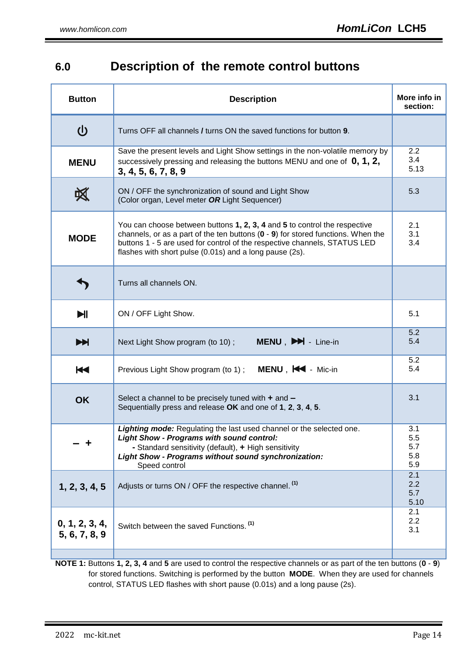# **6.0 Description of the remote control buttons**

| <b>Button</b>                   | <b>Description</b>                                                                                                                                                                                                                                                                                      | More info in<br>section:        |
|---------------------------------|---------------------------------------------------------------------------------------------------------------------------------------------------------------------------------------------------------------------------------------------------------------------------------------------------------|---------------------------------|
| <u>の</u>                        | Turns OFF all channels / turns ON the saved functions for button 9.                                                                                                                                                                                                                                     |                                 |
| <b>MENU</b>                     | Save the present levels and Light Show settings in the non-volatile memory by<br>successively pressing and releasing the buttons MENU and one of $0, 1, 2,$<br>3, 4, 5, 6, 7, 8, 9                                                                                                                      | 2.2<br>3.4<br>5.13              |
| 呶                               | ON / OFF the synchronization of sound and Light Show<br>(Color organ, Level meter OR Light Sequencer)                                                                                                                                                                                                   | 5.3                             |
| <b>MODE</b>                     | You can choose between buttons 1, 2, 3, 4 and 5 to control the respective<br>channels, or as a part of the ten buttons $(0 - 9)$ for stored functions. When the<br>buttons 1 - 5 are used for control of the respective channels, STATUS LED<br>flashes with short pulse (0.01s) and a long pause (2s). | 2.1<br>3.1<br>3.4               |
|                                 | Turns all channels ON.                                                                                                                                                                                                                                                                                  |                                 |
| HI                              | ON / OFF Light Show.                                                                                                                                                                                                                                                                                    | 5.1                             |
| E                               | MENU, MI - Line-in<br>Next Light Show program (to 10);                                                                                                                                                                                                                                                  | 5.2<br>5.4                      |
| K                               | MENU, KI - Mic-in<br>Previous Light Show program (to 1);                                                                                                                                                                                                                                                | 5.2<br>5.4                      |
| <b>OK</b>                       | Select a channel to be precisely tuned with $+$ and $-$<br>Sequentially press and release OK and one of 1, 2, 3, 4, 5.                                                                                                                                                                                  | 3.1                             |
|                                 | Lighting mode: Regulating the last used channel or the selected one.<br>Light Show - Programs with sound control:<br>- Standard sensitivity (default), + High sensitivity<br>Light Show - Programs without sound synchronization:<br>Speed control                                                      | 3.1<br>5.5<br>5.7<br>5.8<br>5.9 |
| 1, 2, 3, 4, 5                   | Adjusts or turns ON / OFF the respective channel. <sup>(1)</sup>                                                                                                                                                                                                                                        | 2.1<br>2.2<br>5.7<br>5.10       |
| 0, 1, 2, 3, 4,<br>5, 6, 7, 8, 9 | Switch between the saved Functions. <sup>(1)</sup>                                                                                                                                                                                                                                                      | 2.1<br>2.2<br>3.1               |
|                                 |                                                                                                                                                                                                                                                                                                         |                                 |

**NOTE 1:** Buttons **1, 2, 3, 4** and **5** are used to control the respective channels or as part of the ten buttons (**0** - **9**) for stored functions. Switching is performed by the button **MODE**. When they are used for channels control, STATUS LED flashes with short pause (0.01s) and a long pause (2s).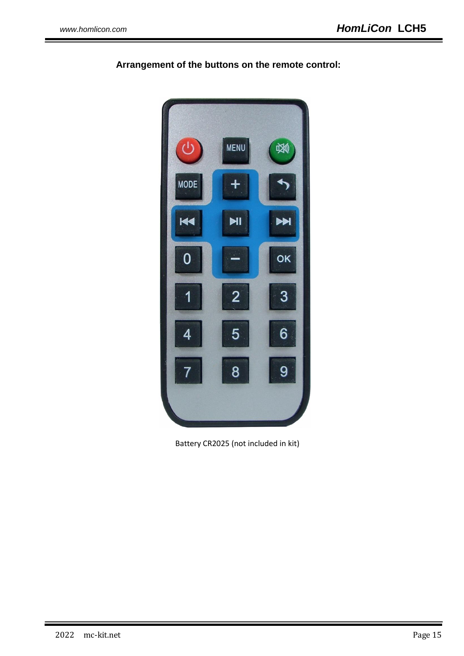

**Arrangement of the buttons on the remote control:**

Battery CR2025 (not included in kit)